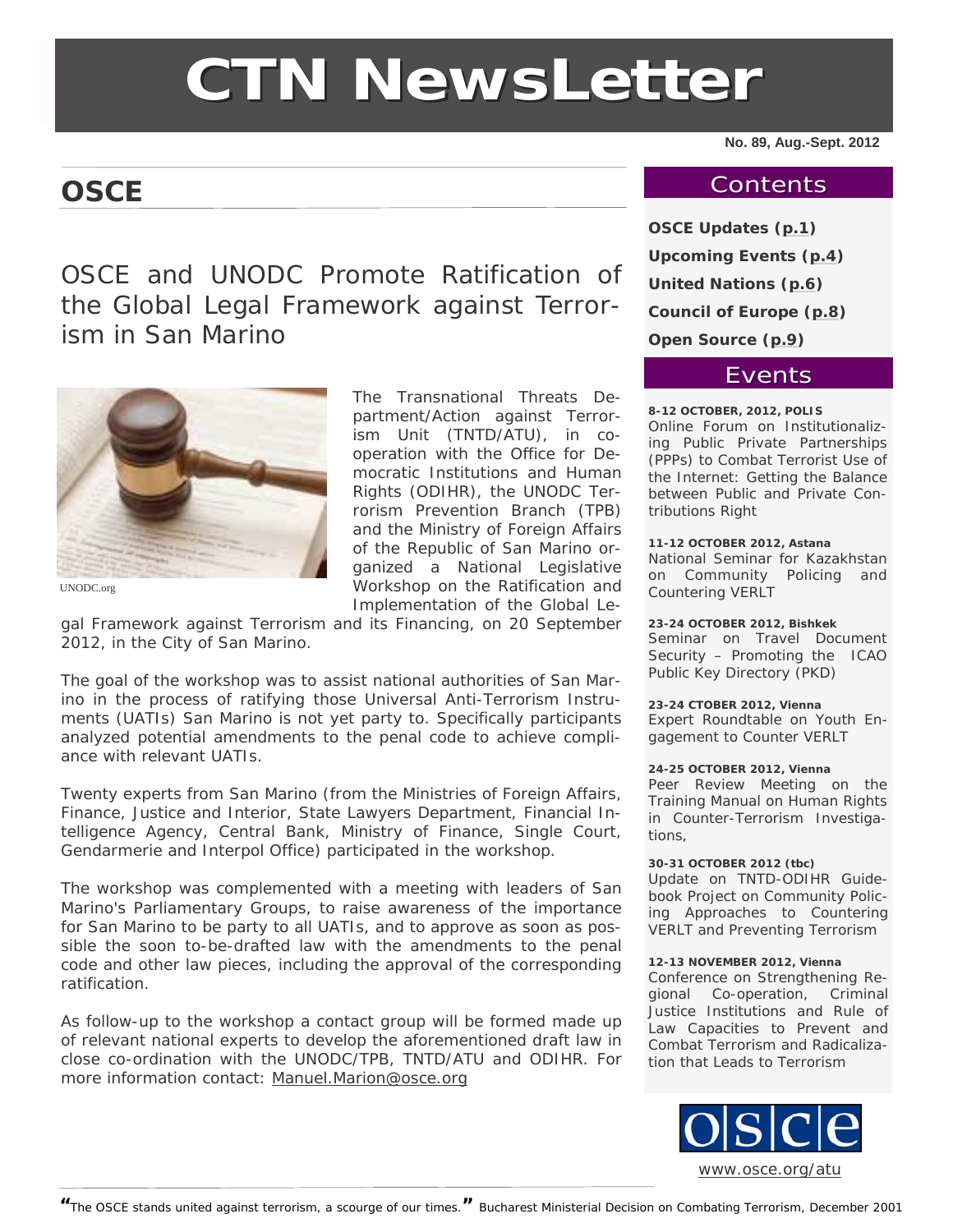# **CTN NewsLetter**

# <span id="page-0-0"></span>**OSCE**

**No. 89, Aug.-Sept. 2012** 

#### **Contents**

OSCE and UNODC Promote Ratification of the Global Legal Framework against Terrorism in San Marino



UNODC.org

The Transnational Threats Department/Action against Terrorism Unit (TNTD/ATU), in cooperation with the Office for Democratic Institutions and Human Rights (ODIHR), the UNODC Terrorism Prevention Branch (TPB) and the Ministry of Foreign Affairs of the Republic of San Marino organized a *National Legislative Workshop on the Ratification and Implementation of the Global Le-*

*gal Framework against Terrorism and its Financing*, on 20 September 2012, in the City of San Marino.

The goal of the workshop was to assist national authorities of San Marino in the process of ratifying those Universal Anti-Terrorism Instruments (UATIs) San Marino is not yet party to. Specifically participants analyzed potential amendments to the penal code to achieve compliance with relevant UATIs.

Twenty experts from San Marino (from the Ministries of Foreign Affairs, Finance, Justice and Interior, State Lawyers Department, Financial Intelligence Agency, Central Bank, Ministry of Finance, Single Court, Gendarmerie and Interpol Office) participated in the workshop.

The workshop was complemented with a meeting with leaders of San Marino's Parliamentary Groups, to raise awareness of the importance for San Marino to be party to all UATIs, and to approve as soon as possible the soon to-be-drafted law with the amendments to the penal code and other law pieces, including the approval of the corresponding ratification.

As follow-up to the workshop a contact group will be formed made up of relevant national experts to develop the aforementioned draft law in close co-ordination with the UNODC/TPB, TNTD/ATU and ODIHR. For more information contact: [Manuel.Marion@osce.org](mailto:Manuel.Marion@osce.org)

**OSCE Updates (p.1) Upcoming Events ([p.4](#page-3-0)) United Nations ([p.6](#page-5-0)) Council of Europe ([p.8](#page-7-0)) Open Source [\(p.9](#page-8-0))** 

#### **Events**

**8-12 OCTOBER, 2012, POLIS**  Online Forum on Institutionalizing Public Private Partnerships (PPPs) to Combat Terrorist Use of the Internet: Getting the Balance

tributions Right **11-12 OCTOBER 2012, Astana**  National Seminar for Kazakhstan on Community Policing and Countering VERLT

between Public and Private Con-

**23-24 OCTOBER 2012, Bishkek**  Seminar on Travel Document Security – Promoting the ICAO Public Key Directory (PKD)

**23-24 CTOBER 2012, Vienna**  Expert Roundtable on Youth Engagement to Counter VERLT

#### **24-25 OCTOBER 2012, Vienna**

Peer Review Meeting on the Training Manual on Human Rights in Counter-Terrorism Investigations,

**30-31 OCTOBER 2012 (tbc)** 

Update on TNTD-ODIHR Guidebook Project on Community Policing Approaches to Countering VERLT and Preventing Terrorism

#### **12-13 NOVEMBER 2012, Vienna**

Conference on Strengthening Regional Co-operation, Criminal Justice Institutions and Rule of Law Capacities to Prevent and Combat Terrorism and Radicalization that Leads to Terrorism

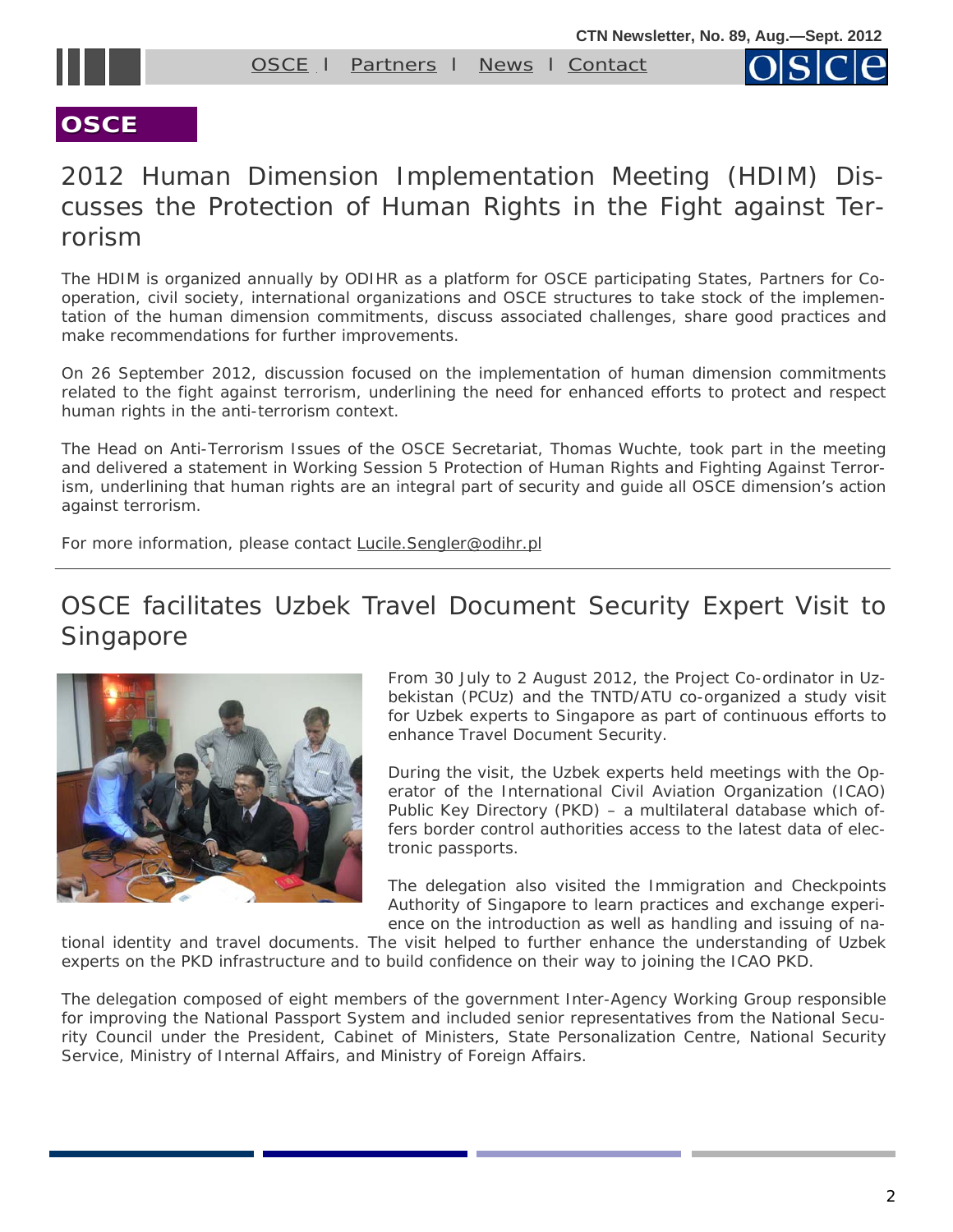



#### **OSCE**

# 2012 Human Dimension Implementation Meeting (HDIM) Discusses the Protection of Human Rights in the Fight against Terrorism

The HDIM is organized annually by ODIHR as a platform for OSCE participating States, Partners for Cooperation, civil society, international organizations and OSCE structures to take stock of the implementation of the human dimension commitments, discuss associated challenges, share good practices and make recommendations for further improvements.

On 26 September 2012, discussion focused on the implementation of human dimension commitments related to the fight against terrorism, underlining the need for enhanced efforts to protect and respect human rights in the anti-terrorism context.

The Head on Anti-Terrorism Issues of the OSCE Secretariat, Thomas Wuchte, took part in the meeting and delivered a statement in *Working Session 5 Protection of Human Rights and Fighting Against Terrorism*, underlining that human rights are an integral part of security and guide all OSCE dimension's action against terrorism.

For more information, please contact Lucile. Sengler@odihr.pl

# OSCE facilitates Uzbek Travel Document Security Expert Visit to **Singapore**



From 30 July to 2 August 2012, the Project Co-ordinator in Uzbekistan (PCUz) and the TNTD/ATU co-organized a study visit for Uzbek experts to Singapore as part of continuous efforts to enhance Travel Document Security.

During the visit, the Uzbek experts held meetings with the Operator of the International Civil Aviation Organization (ICAO) Public Key Directory (PKD) – a multilateral database which offers border control authorities access to the latest data of electronic passports.

The delegation also visited the Immigration and Checkpoints Authority of Singapore to learn practices and exchange experience on the introduction as well as handling and issuing of na-

tional identity and travel documents. The visit helped to further enhance the understanding of Uzbek experts on the PKD infrastructure and to build confidence on their way to joining the ICAO PKD.

The delegation composed of eight members of the government Inter-Agency Working Group responsible for improving the National Passport System and included senior representatives from the National Security Council under the President, Cabinet of Ministers, State Personalization Centre, National Security Service, Ministry of Internal Affairs, and Ministry of Foreign Affairs.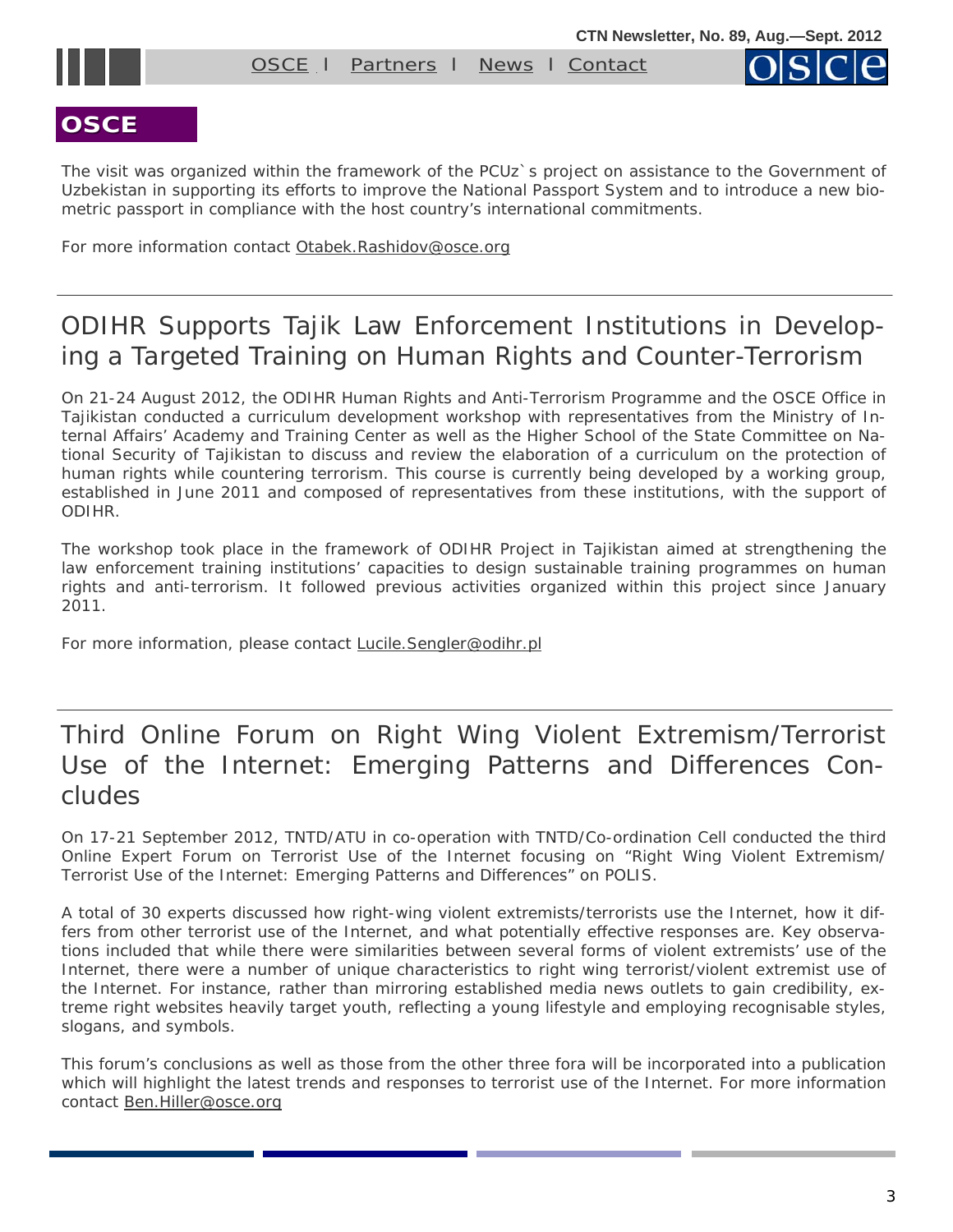

#### **OSCE**

The visit was organized within the framework of the PCUz`s project on assistance to the Government of Uzbekistan in supporting its efforts to improve the National Passport System and to introduce a new biometric passport in compliance with the host country's international commitments.

For more information contact [Otabek.Rashidov@osce.org](mailto:Otabek.Rashidov@osce.org)

# ODIHR Supports Tajik Law Enforcement Institutions in Developing a Targeted Training on Human Rights and Counter-Terrorism

On 21-24 August 2012, the ODIHR Human Rights and Anti-Terrorism Programme and the OSCE Office in Tajikistan conducted a curriculum development workshop with representatives from the Ministry of Internal Affairs' Academy and Training Center as well as the Higher School of the State Committee on National Security of Tajikistan to discuss and review the elaboration of a curriculum on the protection of human rights while countering terrorism. This course is currently being developed by a working group, established in June 2011 and composed of representatives from these institutions, with the support of ODIHR.

The workshop took place in the framework of ODIHR Project in Tajikistan aimed at strengthening the law enforcement training institutions' capacities to design sustainable training programmes on human rights and anti-terrorism. It followed previous activities organized within this project since January 2011.

For more information, please contact [Lucile.Sengler@odihr.pl](mailto:Lucile.Sengler@odihr.pl)

# Third Online Forum on Right Wing Violent Extremism/Terrorist Use of the Internet: Emerging Patterns and Differences Concludes

On 17-21 September 2012, TNTD/ATU in co-operation with TNTD/Co-ordination Cell conducted the third Online Expert Forum on Terrorist Use of the Internet focusing on "*Right Wing Violent Extremism/ Terrorist Use of the Internet: Emerging Patterns and Differences*" on POLIS.

A total of 30 experts discussed how right-wing violent extremists/terrorists use the Internet, how it differs from other terrorist use of the Internet, and what potentially effective responses are. Key observations included that while there were similarities between several forms of violent extremists' use of the Internet, there were a number of unique characteristics to right wing terrorist/violent extremist use of the Internet. For instance, rather than mirroring established media news outlets to gain credibility, extreme right websites heavily target youth, reflecting a young lifestyle and employing recognisable styles, slogans, and symbols.

This forum's conclusions as well as those from the other three fora will be incorporated into a publication which will highlight the latest trends and responses to terrorist use of the Internet. For more information contact [Ben.Hiller@osce.org](mailto:Ben.Hiller@osce.org)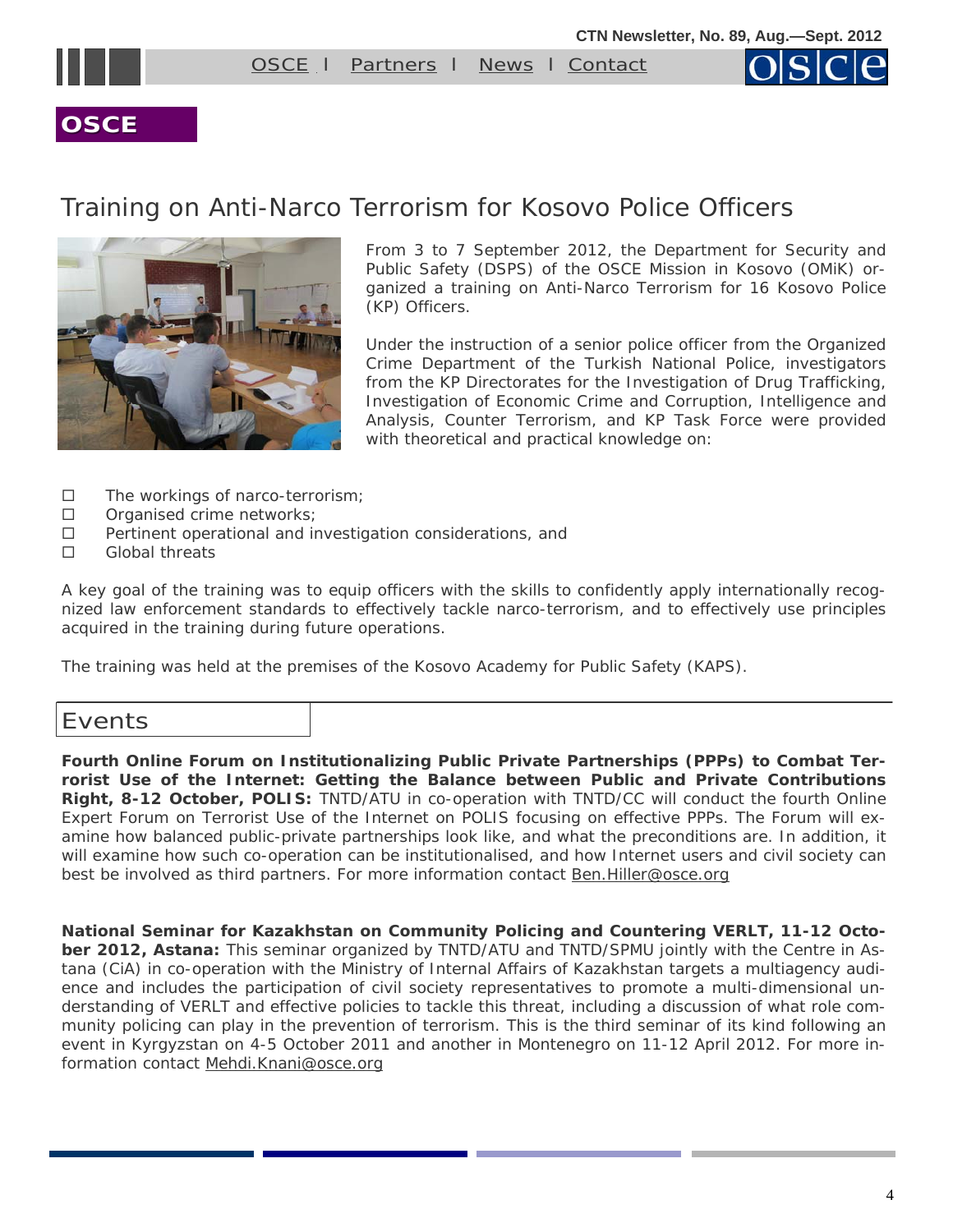<span id="page-3-0"></span>



#### **OSCE**

# Training on Anti-Narco Terrorism for Kosovo Police Officers



From 3 to 7 September 2012, the Department for Security and Public Safety (DSPS) of the OSCE Mission in Kosovo (OMiK) organized a training on *Anti-Narco Terrorism* for 16 Kosovo Police (KP) Officers.

Under the instruction of a senior police officer from the Organized Crime Department of the Turkish National Police, investigators from the KP Directorates for the Investigation of Drug Trafficking, Investigation of Economic Crime and Corruption, Intelligence and Analysis, Counter Terrorism, and KP Task Force were provided with theoretical and practical knowledge on:

- $\square$  The workings of narco-terrorism;
- $\square$  Organised crime networks;
- $\Box$  Pertinent operational and investigation considerations, and
- □ Global threats

A key goal of the training was to equip officers with the skills to confidently apply internationally recognized law enforcement standards to effectively tackle narco-terrorism, and to effectively use principles acquired in the training during future operations.

The training was held at the premises of the Kosovo Academy for Public Safety (KAPS).

#### Events

**Fourth Online Forum on Institutionalizing Public Private Partnerships (PPPs) to Combat Terrorist Use of the Internet: Getting the Balance between Public and Private Contributions Right, 8-12 October, POLIS:** TNTD/ATU in co-operation with TNTD/CC will conduct the fourth Online Expert Forum on Terrorist Use of the Internet on POLIS focusing on effective PPPs. The Forum will examine how balanced public-private partnerships look like, and what the preconditions are. In addition, it will examine how such co-operation can be institutionalised, and how Internet users and civil society can best be involved as third partners. For more information contact [Ben.Hiller@osce.org](mailto:Ben.Hiller@osce.org) 

**National Seminar for Kazakhstan on Community Policing and Countering VERLT, 11-12 October 2012, Astana:** This seminar organized by TNTD/ATU and TNTD/SPMU jointly with the Centre in Astana (CiA) in co-operation with the Ministry of Internal Affairs of Kazakhstan targets a multiagency audience and includes the participation of civil society representatives to promote a multi-dimensional understanding of VERLT and effective policies to tackle this threat, including a discussion of what role community policing can play in the prevention of terrorism. This is the third seminar of its kind following an event in Kyrgyzstan on 4-5 October 2011 and another in Montenegro on 11-12 April 2012. For more information contact Mehdi.Knani@osce.org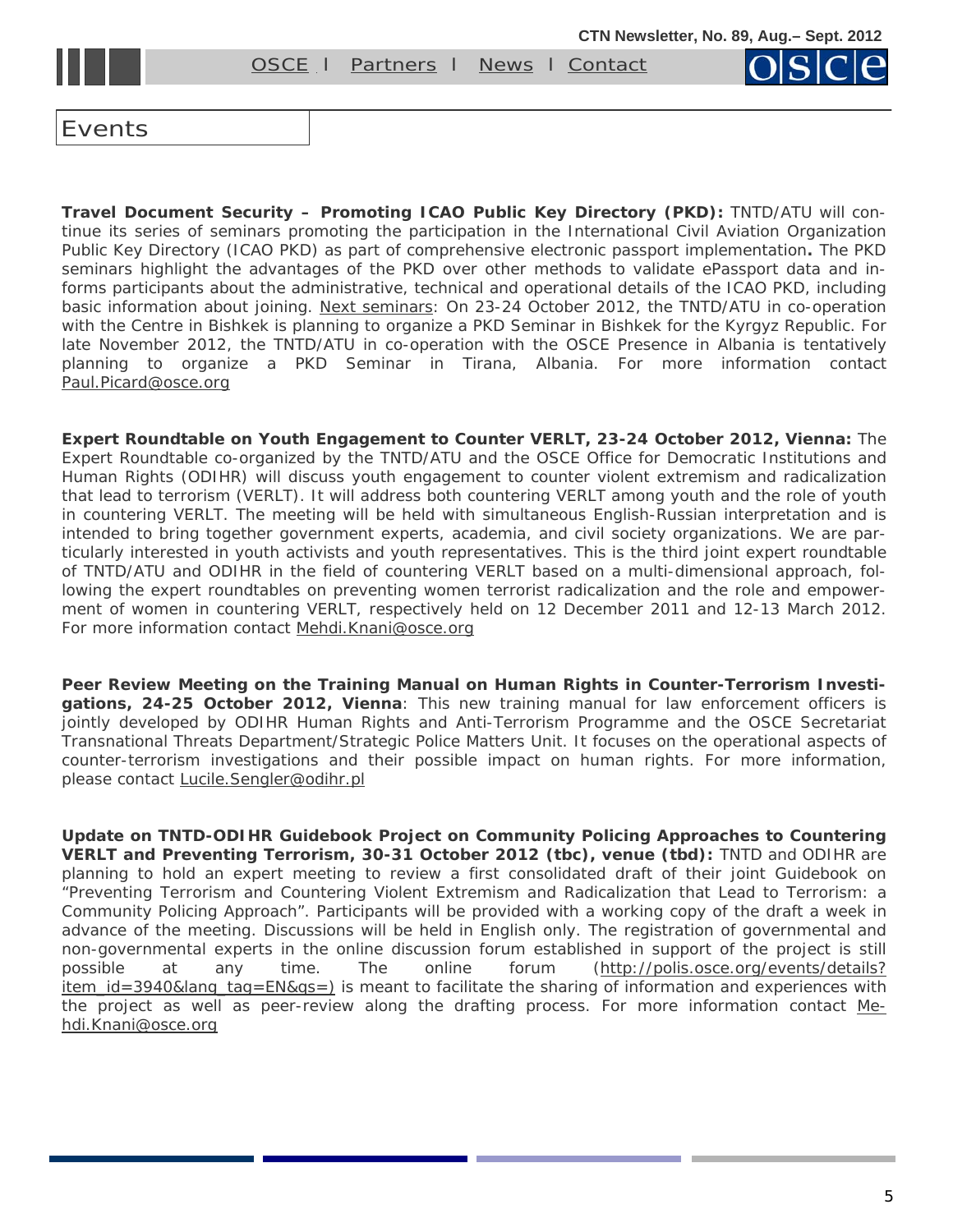[OSCE](#page-0-0) l [Partners](#page-7-0) l [News](#page-8-0) l [Contact](mailto:nemanja.malisevic@osce.org;%20ben.hiller@osce.org)

Events

**Travel Document Security – Promoting ICAO Public Key Directory (PKD):** TNTD/ATU will continue its series of seminars promoting the participation in the International Civil Aviation Organization Public Key Directory (ICAO PKD) as part of comprehensive electronic passport implementation**.** The PKD seminars highlight the advantages of the PKD over other methods to validate ePassport data and informs participants about the administrative, technical and operational details of the ICAO PKD, including basic information about joining. Next seminars: On 23-24 October 2012, the TNTD/ATU in co-operation with the Centre in Bishkek is planning to organize a PKD Seminar in Bishkek for the Kyrgyz Republic. For late November 2012, the TNTD/ATU in co-operation with the OSCE Presence in Albania is tentatively planning to organize a PKD Seminar in Tirana, Albania. For more information contact [Paul.Picard@osce.org](mailto:Paul.Picard@osce.org)

**Expert Roundtable on Youth Engagement to Counter VERLT, 23-24 October 2012, Vienna:** The Expert Roundtable co-organized by the TNTD/ATU and the OSCE Office for Democratic Institutions and Human Rights (ODIHR) will discuss youth engagement to counter violent extremism and radicalization that lead to terrorism (VERLT). It will address both countering VERLT among youth and the role of youth in countering VERLT. The meeting will be held with simultaneous English-Russian interpretation and is intended to bring together government experts, academia, and civil society organizations. We are particularly interested in youth activists and youth representatives. This is the third joint expert roundtable of TNTD/ATU and ODIHR in the field of countering VERLT based on a multi-dimensional approach, following the expert roundtables on preventing women terrorist radicalization and the role and empowerment of women in countering VERLT, respectively held on 12 December 2011 and 12-13 March 2012. For more information contact Mehdi.Knani@osce.org

**Peer Review Meeting on the Training Manual on Human Rights in Counter-Terrorism Investigations, 24-25 October 2012, Vienna**: This new training manual for law enforcement officers is jointly developed by ODIHR Human Rights and Anti-Terrorism Programme and the OSCE Secretariat Transnational Threats Department/Strategic Police Matters Unit. It focuses on the operational aspects of counter-terrorism investigations and their possible impact on human rights. For more information, please contact [Lucile.Sengler@odihr.pl](mailto:Lucile.Sengler@odihr.pl)

**Update on TNTD-ODIHR Guidebook Project on Community Policing Approaches to Countering VERLT and Preventing Terrorism, 30-31 October 2012 (tbc), venue (tbd):** TNTD and ODIHR are planning to hold an expert meeting to review a first consolidated draft of their joint Guidebook on "Preventing Terrorism and Countering Violent Extremism and Radicalization that Lead to Terrorism: a Community Policing Approach". Participants will be provided with a working copy of the draft a week in advance of the meeting. Discussions will be held in English only. The registration of governmental and non-governmental experts in the online discussion forum established in support of the project is still possible at any time. The online forum (http://polis.osce.org/events/details? item\_id=3940&lang\_tag=EN&qs=) is meant to facilitate the sharing of information and experiences with the project as well as peer-review along the drafting process. For more information contact [Me](mailto:Mehdi.Knani@osce.org)[hdi.Knani@osce.org](mailto:Mehdi.Knani@osce.org)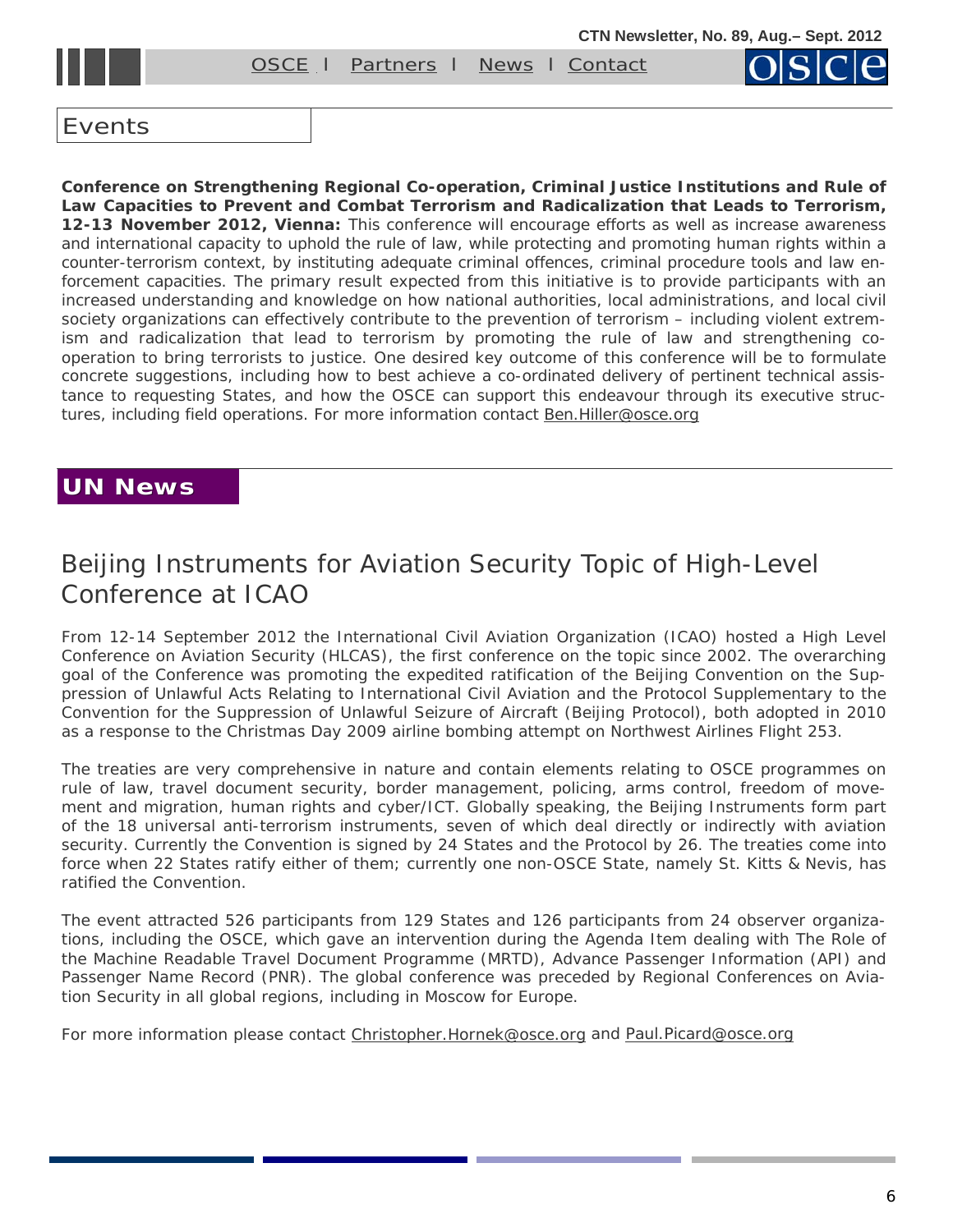[OSCE](#page-0-0) l Partners l [News](#page-8-0) l [Contact](mailto:nemanja.malisevic@osce.org;%20ben.hiller@osce.org)

#### <span id="page-5-0"></span>Events

**Conference on Strengthening Regional Co-operation, Criminal Justice Institutions and Rule of Law Capacities to Prevent and Combat Terrorism and Radicalization that Leads to Terrorism, 12-13 November 2012, Vienna:** This conference will encourage efforts as well as increase awareness and international capacity to uphold the rule of law, while protecting and promoting human rights within a counter-terrorism context, by instituting adequate criminal offences, criminal procedure tools and law enforcement capacities. The primary result expected from this initiative is to provide participants with an increased understanding and knowledge on how national authorities, local administrations, and local civil society organizations can effectively contribute to the prevention of terrorism – including violent extremism and radicalization that lead to terrorism by promoting the rule of law and strengthening cooperation to bring terrorists to justice. One desired key outcome of this conference will be to formulate concrete suggestions, including how to best achieve a co-ordinated delivery of pertinent technical assistance to requesting States, and how the OSCE can support this endeavour through its executive structures, including field operations. For more information contact [Ben.Hiller@osce.org](mailto:Ben.Hiller@osce.org) 

#### **UN News UN News**

# Beijing Instruments for Aviation Security Topic of High-Level Conference at ICAO

From 12-14 September 2012 the International Civil Aviation Organization (ICAO) hosted a High Level Conference on Aviation Security (HLCAS), the first conference on the topic since 2002. The overarching goal of the Conference was promoting the expedited ratification of the Beijing Convention on the Suppression of Unlawful Acts Relating to International Civil Aviation and the Protocol Supplementary to the Convention for the Suppression of Unlawful Seizure of Aircraft (Beijing Protocol), both adopted in 2010 as a response to the Christmas Day 2009 airline bombing attempt on Northwest Airlines Flight 253.

The treaties are very comprehensive in nature and contain elements relating to OSCE programmes on rule of law, travel document security, border management, policing, arms control, freedom of movement and migration, human rights and cyber/ICT. Globally speaking, the Beijing Instruments form part of the 18 universal anti-terrorism instruments, seven of which deal directly or indirectly with aviation security. Currently the Convention is signed by 24 States and the Protocol by 26. The treaties come into force when 22 States ratify either of them; currently one non-OSCE State, namely St. Kitts & Nevis, has ratified the Convention.

The event attracted 526 participants from 129 States and 126 participants from 24 observer organizations, including the OSCE, which gave an intervention during the Agenda Item dealing with The Role of the Machine Readable Travel Document Programme (MRTD), Advance Passenger Information (API) and Passenger Name Record (PNR). The global conference was preceded by Regional Conferences on Aviation Security in all global regions, including in Moscow for Europe.

For more information please contact [Christopher.Hornek@osce.org](mailto:Christopher.Hornek@osce.org) and [Paul.Picard@osce.org](mailto:Paul.Picard@osce.org)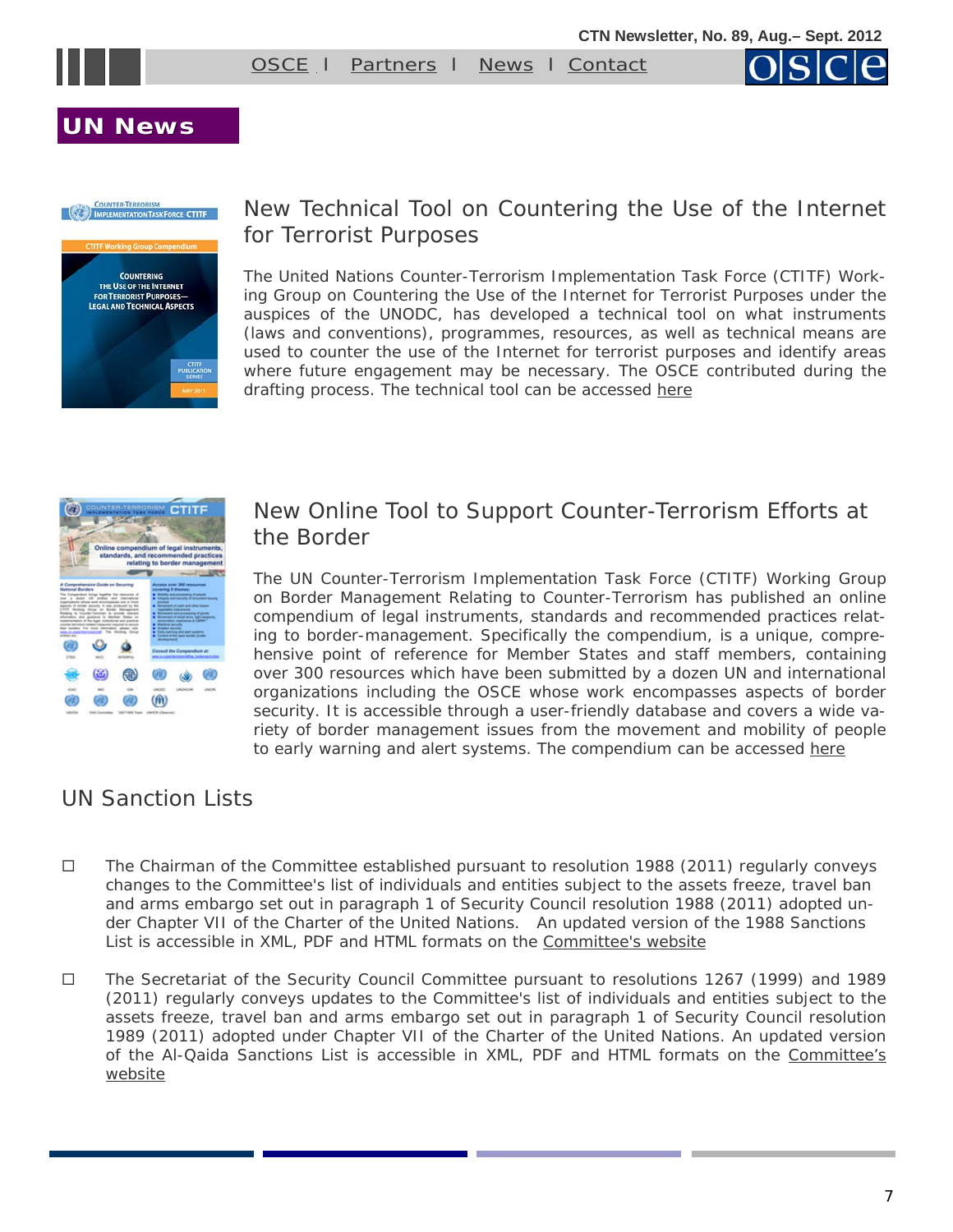



#### **UN News UN News**



#### New Technical Tool on Countering the Use of the Internet for Terrorist Purposes

The United Nations Counter-Terrorism Implementation Task Force (CTITF) Working Group on Countering the Use of the Internet for Terrorist Purposes under the auspices of the UNODC, has developed a technical tool on what instruments (laws and conventions), programmes, resources, as well as technical means are used to counter the use of the Internet for terrorist purposes and identify areas where future engagement may be necessary. The OSCE contributed during the drafting process. The technical tool can be accessed [here](http://www.google.at/imgres?imgurl=http://www.un.org/en/terrorism/ctitf/images/sg-symposium-cover-large.jpg&imgrefurl=http://www.un.org/en/terrorism/ctitf/reportsandpubs.shtml&usg=__l9NackjsmqAcS4VAlUschGP0t98=&h=259&w=200&sz=21&hl=en&start=28&zoom=1&tbnid) 



#### New Online Tool to Support Counter-Terrorism Efforts at the Border

The UN Counter-Terrorism Implementation Task Force (CTITF) Working Group on Border Management Relating to Counter-Terrorism has published an online compendium of legal instruments, standards and recommended practices relating to border-management. Specifically the compendium, is a unique, comprehensive point of reference for Member States and staff members, containing over 300 resources which have been submitted by a dozen UN and international organizations including the OSCE whose work encompasses aspects of border security. It is accessible through a user-friendly database and covers a wide variety of border management issues from the movement and mobility of people to early warning and alert systems. The compendium can be accessed here

#### UN Sanction Lists

- $\Box$  The Chairman of the Committee established pursuant to resolution 1988 (2011) regularly conveys changes to the Committee's list of individuals and entities subject to the assets freeze, travel ban and arms embargo set out in paragraph 1 of Security Council resolution 1988 (2011) adopted under Chapter VII of the Charter of the United Nations. An updated version of the 1988 Sanctions List is accessible in XML, PDF and HTML formats on the [Committee's website](http://www.un.org/sc/committees/1988/list.shtml)
- The Secretariat of the Security Council Committee pursuant to resolutions 1267 (1999) and 1989 (2011) regularly conveys updates to the Committee's list of individuals and entities subject to the assets freeze, travel ban and arms embargo set out in paragraph 1 of Security Council resolution 1989 (2011) adopted under Chapter VII of the Charter of the United Nations. An updated version of the Al-Qaida Sanctions List is accessible in XML, PDF and HTML formats on the [Committee's](http://www.un.org/sc/committees/1267/aq_sanctions_list.shtml.)  [website](http://www.un.org/sc/committees/1267/aq_sanctions_list.shtml.)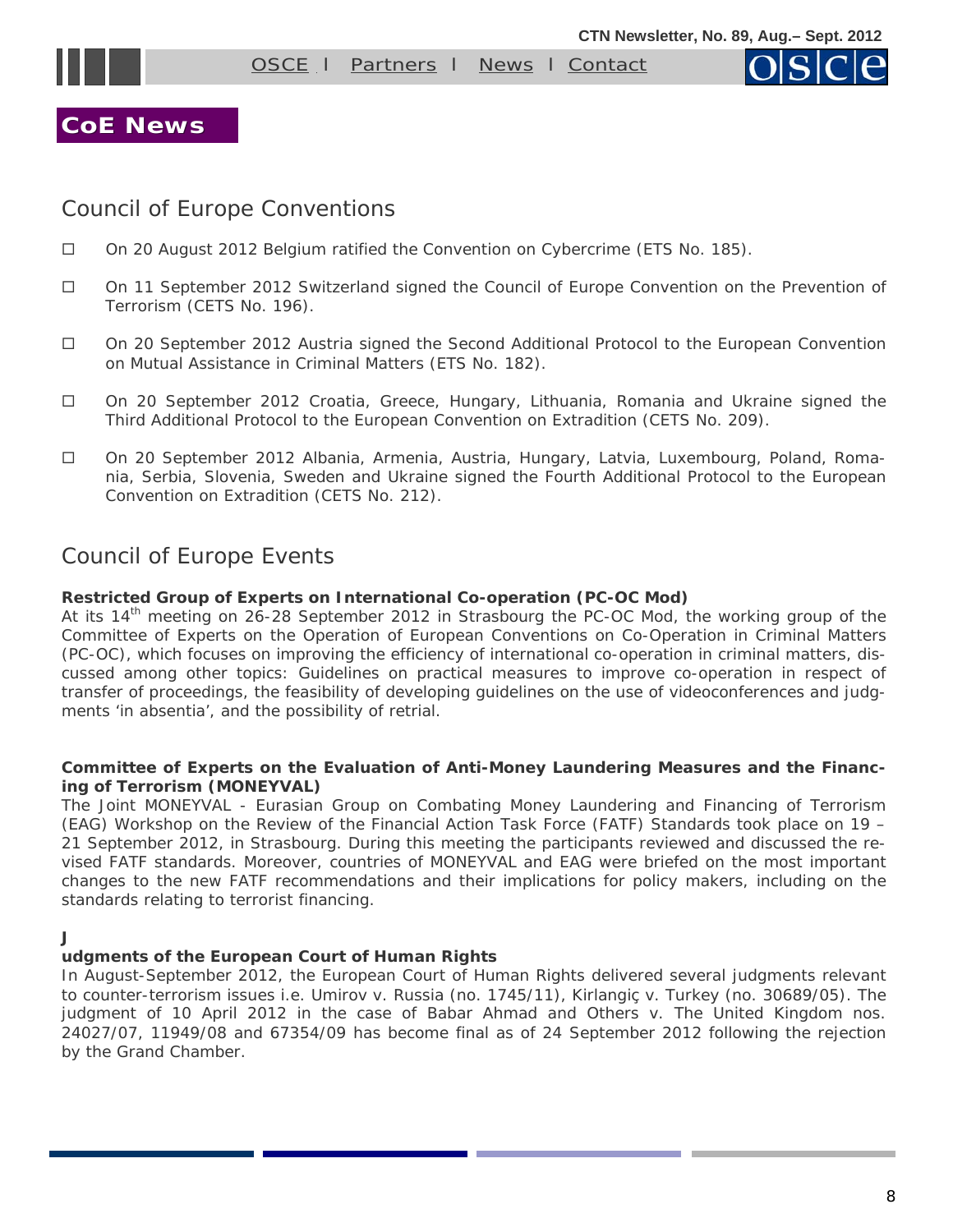<span id="page-7-0"></span>



**CoE News CoE News**

#### Council of Europe Conventions

- On 20 August 2012 Belgium ratified the *Convention on Cybercrime (ETS No. 185)*.
- On 11 September 2012 Switzerland signed the *Council of Europe Convention on the Prevention of Terrorism (CETS No. 196)*.
- On 20 September 2012 Austria signed the *Second Additional Protocol to the European Convention on Mutual Assistance in Criminal Matters (ETS No. 182)*.
- On 20 September 2012 Croatia, Greece, Hungary, Lithuania, Romania and Ukraine signed the *Third Additional Protocol to the European Convention on Extradition (CETS No. 209)*.
- On 20 September 2012 Albania, Armenia, Austria, Hungary, Latvia, Luxembourg, Poland, Romania, Serbia, Slovenia, Sweden and Ukraine signed the *Fourth Additional Protocol to the European Convention on Extradition (CETS No. 212)*.

#### Council of Europe Events

#### **Restricted Group of Experts on International Co-operation (PC-OC Mod)**

At its  $14<sup>th</sup>$  meeting on 26-28 September 2012 in Strasbourg the PC-OC Mod, the working group of the Committee of Experts on the Operation of European Conventions on Co-Operation in Criminal Matters (PC-OC), which focuses on improving the efficiency of international co-operation in criminal matters, discussed among other topics: Guidelines on practical measures to improve co-operation in respect of transfer of proceedings, the feasibility of developing guidelines on the use of videoconferences and judgments 'in absentia', and the possibility of retrial.

#### **Committee of Experts on the Evaluation of Anti-Money Laundering Measures and the Financing of Terrorism (MONEYVAL)**

The Joint MONEYVAL - Eurasian Group on Combating Money Laundering and Financing of Terrorism (EAG) Workshop on the Review of the Financial Action Task Force (FATF) Standards took place on 19 – 21 September 2012, in Strasbourg. During this meeting the participants reviewed and discussed the revised FATF standards. Moreover, countries of MONEYVAL and EAG were briefed on the most important changes to the new FATF recommendations and their implications for policy makers, including on the standards relating to terrorist financing.

#### **J**

#### **udgments of the European Court of Human Rights**

In August-September 2012, the European Court of Human Rights delivered several judgments relevant to counter-terrorism issues i.e. Umirov v. Russia (no. 1745/11), Kirlangiç v. Turkey (no. 30689/05). The judgment of 10 April 2012 in the case of Babar Ahmad and Others v. The United Kingdom nos. 24027/07, 11949/08 and 67354/09 has become final as of 24 September 2012 following the rejection by the Grand Chamber.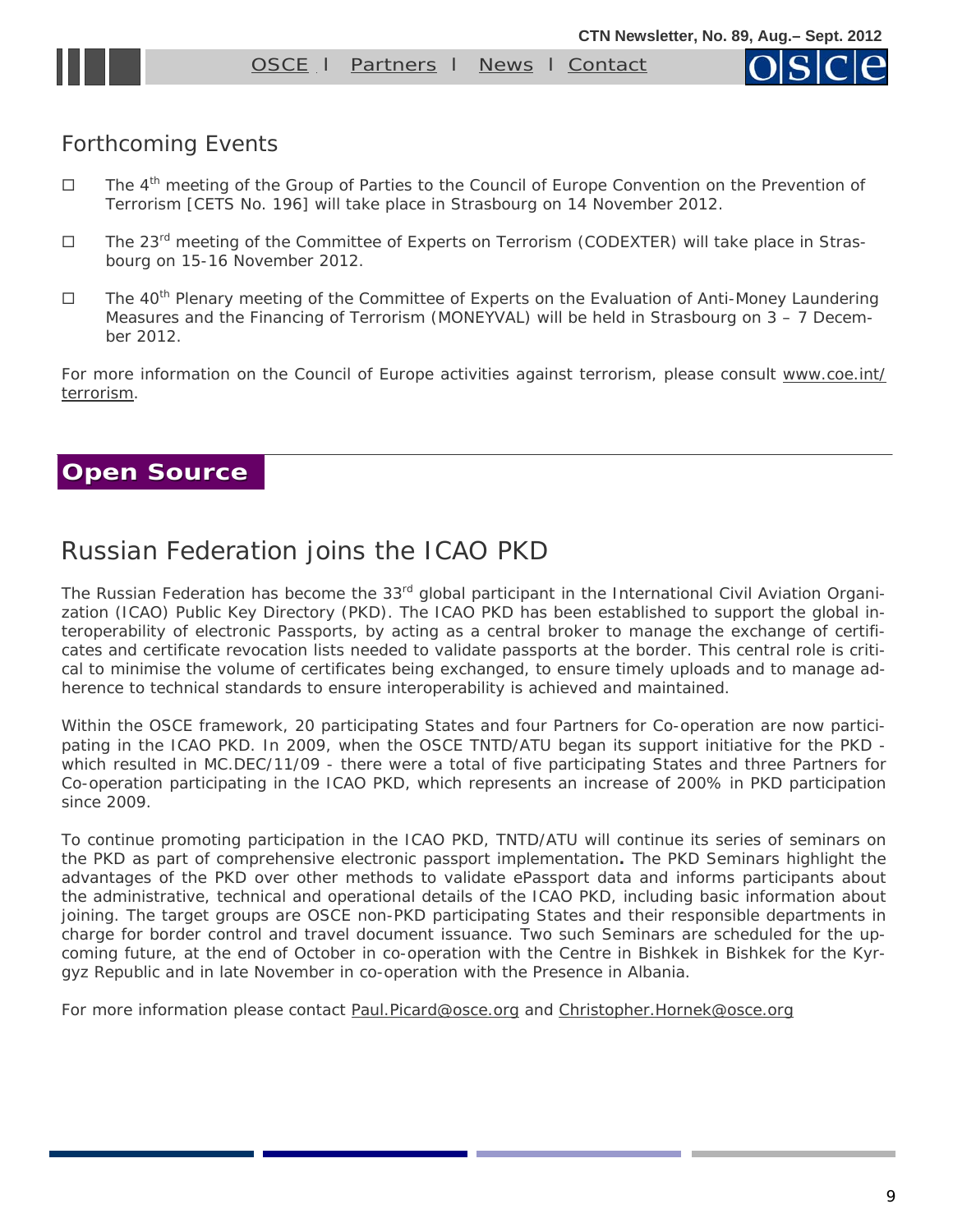

#### <span id="page-8-0"></span>Forthcoming Events

- $\Box$  The 4<sup>th</sup> meeting of the Group of Parties to the Council of Europe Convention on the Prevention of Terrorism [CETS No. 196] will take place in Strasbourg on 14 November 2012.
- $\Box$  The 23<sup>rd</sup> meeting of the Committee of Experts on Terrorism (CODEXTER) will take place in Strasbourg on 15-16 November 2012.
- $\Box$  The 40<sup>th</sup> Plenary meeting of the Committee of Experts on the Evaluation of Anti-Money Laundering Measures and the Financing of Terrorism (MONEYVAL) will be held in Strasbourg on 3 – 7 December 2012.

For more information on the Council of Europe activities against terrorism, please consult [www.coe.int/](http://www.coe.int/terrorism) [terrorism.](http://www.coe.int/terrorism)

#### **Open Source Open Source**

## Russian Federation joins the ICAO PKD

The Russian Federation has become the 33<sup>rd</sup> global participant in the International Civil Aviation Organization (ICAO) Public Key Directory (PKD). The ICAO PKD has been established to support the global interoperability of electronic Passports, by acting as a central broker to manage the exchange of certificates and certificate revocation lists needed to validate passports at the border. This central role is critical to minimise the volume of certificates being exchanged, to ensure timely uploads and to manage adherence to technical standards to ensure interoperability is achieved and maintained.

Within the OSCE framework, 20 participating States and four Partners for Co-operation are now participating in the ICAO PKD. In 2009, when the OSCE TNTD/ATU began its support initiative for the PKD which resulted in MC.DEC/11/09 - there were a total of five participating States and three Partners for Co-operation participating in the ICAO PKD, which represents an increase of 200% in PKD participation since 2009.

To continue promoting participation in the ICAO PKD, TNTD/ATU will continue its series of seminars on the PKD as part of comprehensive electronic passport implementation**.** The PKD Seminars highlight the advantages of the PKD over other methods to validate ePassport data and informs participants about the administrative, technical and operational details of the ICAO PKD, including basic information about joining. The target groups are OSCE non-PKD participating States and their responsible departments in charge for border control and travel document issuance. Two such Seminars are scheduled for the upcoming future, at the end of October in co-operation with the Centre in Bishkek in Bishkek for the Kyrgyz Republic and in late November in co-operation with the Presence in Albania.

For more information please contact [Paul.Picard@osce.org](mailto:Paul.Picard@osce.org) and [Christopher.Hornek@osce.org](mailto:Christopher.Hornek@osce.org)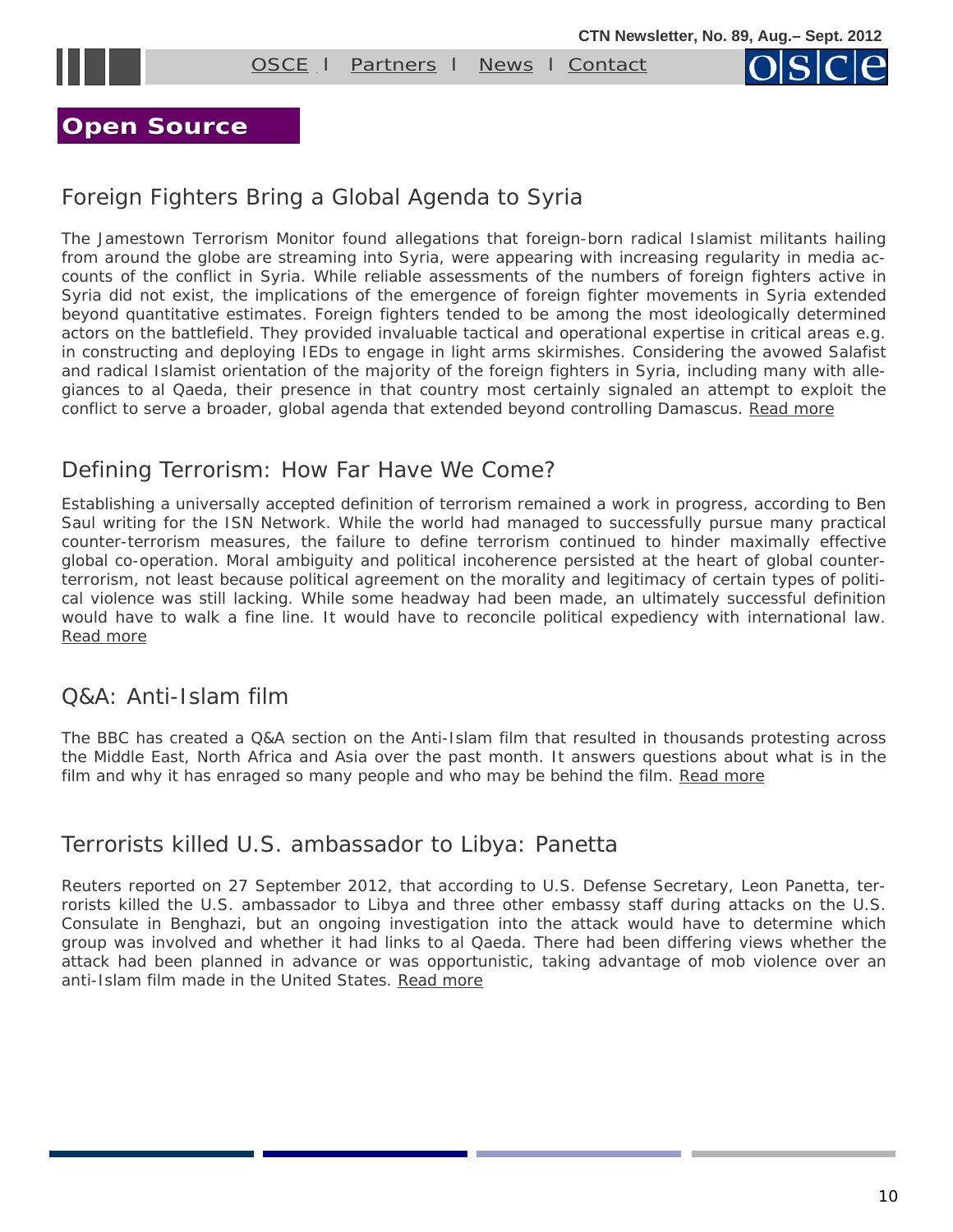



#### **Open Source**

### Foreign Fighters Bring a Global Agenda to Syria

The Jamestown Terrorism Monitor found allegations that foreign-born radical Islamist militants hailing from around the globe are streaming into Syria, were appearing with increasing regularity in media accounts of the conflict in Syria. While reliable assessments of the numbers of foreign fighters active in Syria did not exist, the implications of the emergence of foreign fighter movements in Syria extended beyond quantitative estimates. Foreign fighters tended to be among the most ideologically determined actors on the battlefield. They provided invaluable tactical and operational expertise in critical areas e.g. in constructing and deploying IEDs to engage in light arms skirmishes. Considering the avowed Salafist and radical Islamist orientation of the majority of the foreign fighters in Syria, including many with allegiances to al Qaeda, their presence in that country most certainly signaled an attempt to exploit the conflict to serve a broader, global agenda that extended beyond controlling Damascus. [Read more](http://www.jamestown.org/single/?no_cache=1&tx_ttnews%5Btt_news%5D=39838&tx_ttnews%5BbackPid%5D=588)

#### Defining Terrorism: How Far Have We Come?

Establishing a universally accepted definition of terrorism remained a work in progress, according to Ben Saul writing for the ISN Network. While the world had managed to successfully pursue many practical counter-terrorism measures, the failure to define terrorism continued to hinder maximally effective global co-operation. Moral ambiguity and political incoherence persisted at the heart of global counterterrorism, not least because political agreement on the morality and legitimacy of certain types of political violence was still lacking. While some headway had been made, an ultimately successful definition would have to walk a fine line. It would have to reconcile political expediency with international law. [Read more](http://www.isn.ethz.ch/isn/Digital-Library/Special-Feature/Detail?lng=en&id=152680&contextid774=152680&contextid775=152677&tabid=1453318216)

#### Q&A: Anti-Islam film

The BBC has created a Q&A section on the Anti-Islam film that resulted in thousands protesting across the Middle East, North Africa and Asia over the past month. It answers questions about what is in the film and why it has enraged so many people and who may be behind the film. Read more

#### Terrorists killed U.S. ambassador to Libya: Panetta

Reuters reported on 27 September 2012, that according to U.S. Defense Secretary, Leon Panetta, terrorists killed the U.S. ambassador to Libya and three other embassy staff during attacks on the U.S. Consulate in Benghazi, but an ongoing investigation into the attack would have to determine which group was involved and whether it had links to al Qaeda. There had been differing views whether the attack had been planned in advance or was opportunistic, taking advantage of mob violence over an anti-Islam film made in the United States. [Read more](http://www.reuters.com/article/2012/09/27/us-libya-usa-investigation-idUSBRE88Q1JW20120927)